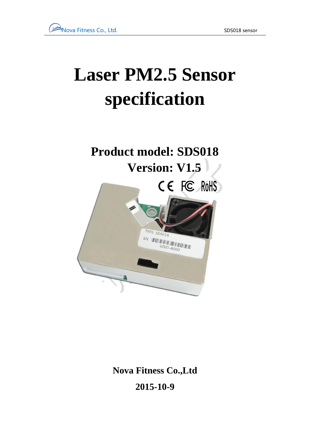# **Laser PM2.5 Sensor specification**

## **Product model: SDS018 Version: V1.5**



**Nova Fitness Co.,Ltd 2015-10-9**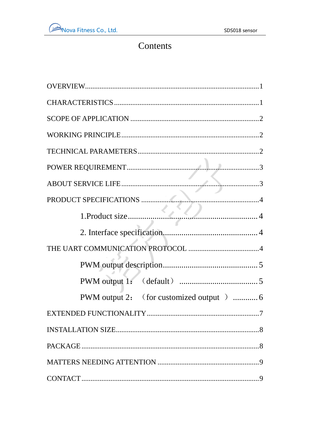#### Contents

| $\cdot$ .7 |
|------------|
|            |
|            |
|            |
|            |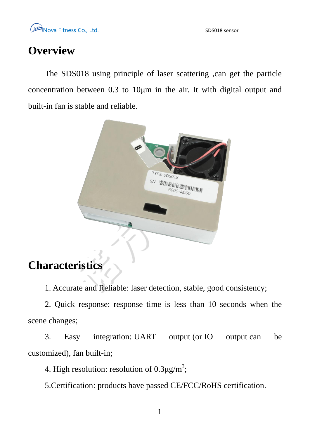#### <span id="page-2-0"></span>**Overview**

The SDS018 using principle of laser scattering ,can get the particle concentration between 0.3 to 10μm in the air. It with digital output and built-in fan is stable and reliable.



#### <span id="page-2-1"></span>**Characteristics**

1. Accurate and Reliable: laser detection, stable, good consistency;

2. Quick response: response time is less than 10 seconds when the scene changes;

3. Easy integration: UART output (or IO output can be customized), fan built-in;

4. High resolution: resolution of  $0.3 \mu$ g/m<sup>3</sup>;

5.Certification: products have passed CE/FCC/RoHS certification.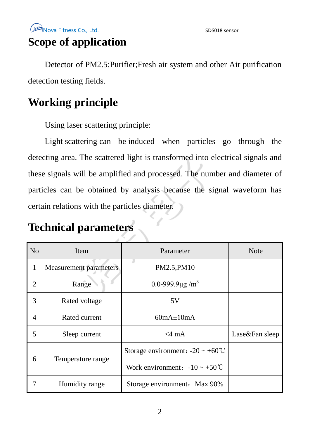#### <span id="page-3-0"></span>**Scope of application**

Detector of PM2.5;Purifier;Fresh air system and other Air purification detection testing fields.

## <span id="page-3-1"></span>**Working principle**

Using laser scattering principle:

Light scattering can be induced when particles go through the detecting area. The scattered light is transformed into electrical signals and these signals will be amplified and processed. The number and diameter of particles can be obtained by analysis because the signal waveform has certain relations with the particles diameter.

#### <span id="page-3-2"></span>**Technical parameters**

| N <sub>o</sub> | Item                          | Parameter                                     | <b>Note</b>    |
|----------------|-------------------------------|-----------------------------------------------|----------------|
| 1              | <b>Measurement parameters</b> | PM2.5, PM10                                   |                |
| $\overline{2}$ | Range                         | 0.0-999.9 $\mu$ g/m <sup>3</sup>              |                |
| 3              | Rated voltage                 | 5V                                            |                |
| $\overline{4}$ | Rated current                 | $60mA \pm 10mA$                               |                |
| 5              | $<$ 4 mA<br>Sleep current     |                                               | Lase&Fan sleep |
| 6              | Temperature range             | Storage environment: $-20 \sim +60^{\circ}$ C |                |
|                |                               | Work environment: $-10 \sim +50^{\circ}$ C    |                |
| 7              | Humidity range                | Storage environment: Max 90%                  |                |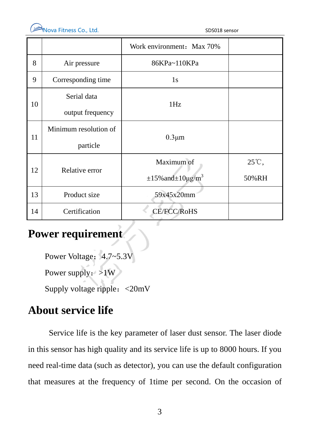

|                              | Work environment: Max 70%        |                    |
|------------------------------|----------------------------------|--------------------|
| 86KPa~110KPa<br>Air pressure |                                  |                    |
| Corresponding time           | 1s                               |                    |
| Serial data                  |                                  |                    |
| output frequency             |                                  |                    |
| Minimum resolution of        |                                  |                    |
| particle                     |                                  |                    |
| Relative error               | Maximum of                       | 25℃,               |
|                              | $\pm 15\%$ and $\pm 10\mu g/m^3$ | 50%RH              |
| Product size                 | 59x45x20mm                       |                    |
| Certification                | <b>CE/FCC/RoHS</b>               |                    |
|                              |                                  | 1Hz<br>$0.3 \mu m$ |

#### <span id="page-4-0"></span>**Power requirement**

Power Voltage: 4.7~5.3V Power supply:  $>1W$ Supply voltage ripple:<20mV

#### <span id="page-4-1"></span>**About service life**

Service life is the key parameter of laser dust sensor. The laser diode in this sensor has high quality and its service life is up to 8000 hours. If you need real-time data (such as detector), you can use the default configuration that measures at the frequency of 1time per second. On the occasion of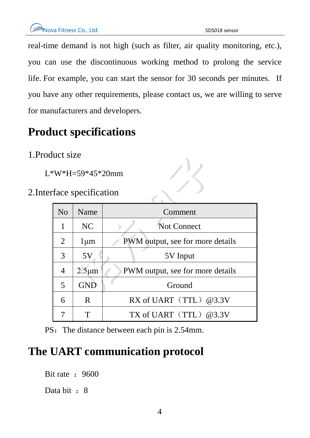real-time demand is not high (such as filter, air quality monitoring, etc.), you can use the discontinuous working method to prolong the service life. For example, you can start the sensor for 30 seconds per minutes. If you have any other requirements, please contact us, we are willing to serve for manufacturers and developers.

## <span id="page-5-0"></span>**Product specifications**

#### <span id="page-5-1"></span>1.Product size

L\*W\*H=59\*45\*20mm

<span id="page-5-2"></span>2.Interface specification

| $*W*H=59*45*20mm$  |             |                                  |  |  |
|--------------------|-------------|----------------------------------|--|--|
| face specification |             |                                  |  |  |
| N <sub>o</sub>     | Name        | Comment                          |  |  |
| 1                  | NC          | <b>Not Connect</b>               |  |  |
| $\overline{2}$     | $1 \mu m$   | PWM output, see for more details |  |  |
| 3                  | 5V          | 5V Input                         |  |  |
| 4                  | $2.5 \mu m$ | PWM output, see for more details |  |  |
| 5                  | <b>GND</b>  | Ground                           |  |  |
| 6                  | R.          | RX of UART (TTL) @3.3V           |  |  |
|                    | T           | TX of UART $(TTL)$ @3.3V         |  |  |

PS: The distance between each pin is 2.54mm.

#### <span id="page-5-3"></span>**The UART communication protocol**

Bit rate  $: 9600$ Data bit : 8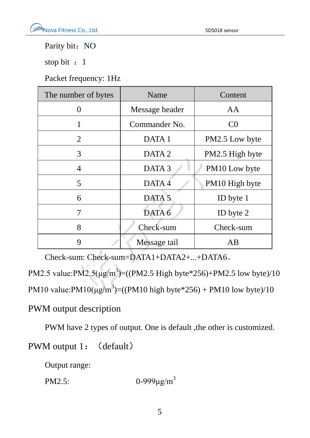**Nova Fitness Co., Ltd.** SDS018 sensor

Parity bit: NO

stop bit : 1

Packet frequency: 1Hz

| The number of bytes | Name              | Content         |  |
|---------------------|-------------------|-----------------|--|
| $\left( \right)$    | Message header    | AA              |  |
| 1                   | Commander No.     | C <sub>0</sub>  |  |
| 2                   | DATA 1            | PM2.5 Low byte  |  |
| 3                   | DATA <sub>2</sub> | PM2.5 High byte |  |
| $\overline{4}$      | DATA <sub>3</sub> | PM10 Low byte   |  |
| 5                   | DATA4             | PM10 High byte  |  |
| 6                   | DATA <sub>5</sub> | ID byte 1       |  |
| $\overline{7}$      | DATA 6            | ID byte 2       |  |
| 8                   | Check-sum         | Check-sum       |  |
| $\mathbf Q$         | Message tail      | AB              |  |

Check-sum: Check-sum=DATA1+DATA2+...+DATA6。

PM2.5 value: $PM2.5(\mu g/m^3) = ((PM2.5 \text{ High byte*256}) + PM2.5 \text{ low byte})/10$ PM10 value: $PM10(\mu g/m^3) = ((PM10 \text{ high byte*256}) + PM10 \text{ low byte})/10$ 

<span id="page-6-0"></span>PWM output description

PWM have 2 types of output. One is default ,the other is customized.

<span id="page-6-1"></span>PWM output 1: (default)

Output range:

PM2.5: 0-999μg/m<sup>3</sup>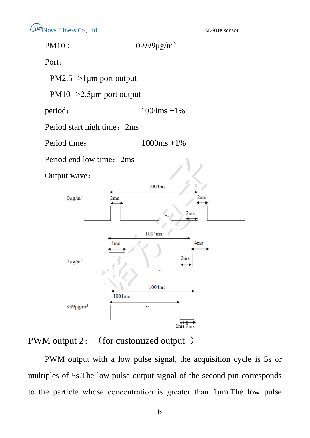

<span id="page-7-0"></span>PWM output 2: (for customized output)

PWM output with a low pulse signal, the acquisition cycle is 5s or multiples of 5s.The low pulse output signal of the second pin corresponds to the particle whose concentration is greater than 1μm.The low pulse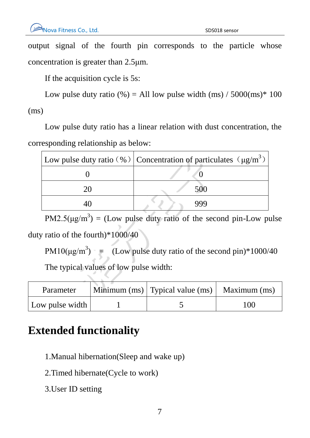output signal of the fourth pin corresponds to the particle whose concentration is greater than 2.5μm.

If the acquisition cycle is 5s:

Low pulse duty ratio  $\left(\% \right) =$  All low pulse width (ms) / 5000(ms)\* 100 (ms)

Low pulse duty ratio has a linear relation with dust concentration, the corresponding relationship as below:

| Low pulse duty ratio (%) Concentration of particulates ( $\mu$ g/m <sup>3</sup> ) |
|-----------------------------------------------------------------------------------|
|                                                                                   |
| 500                                                                               |
| ggc                                                                               |

 $PM2.5(\mu g/m^3) = (Low pulse duty ratio of the second pin-Low pulse)$ duty ratio of the fourth)\*1000/40

PM10( $\mu$ g/m<sup>3</sup>) = (Low pulse duty ratio of the second pin)\*1000/40 The typical values of low pulse width:

| Parameter       | Minimum $(ms)$ Typical value $(ms)$ Maximum $(ms)$ |     |
|-----------------|----------------------------------------------------|-----|
| Low pulse width |                                                    | 100 |

## <span id="page-8-0"></span>**Extended functionality**

- 1.Manual hibernation(Sleep and wake up)
- 2.Timed hibernate(Cycle to work)
- 3.User ID setting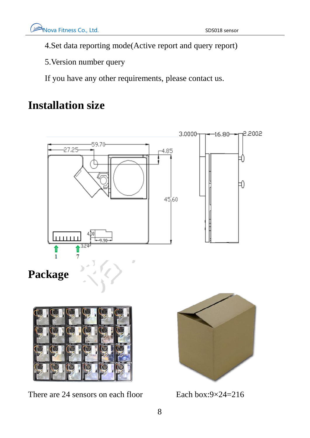4.Set data reporting mode(Active report and query report)

5.Version number query

If you have any other requirements, please contact us.

## <span id="page-9-0"></span>**Installation size**

<span id="page-9-1"></span>